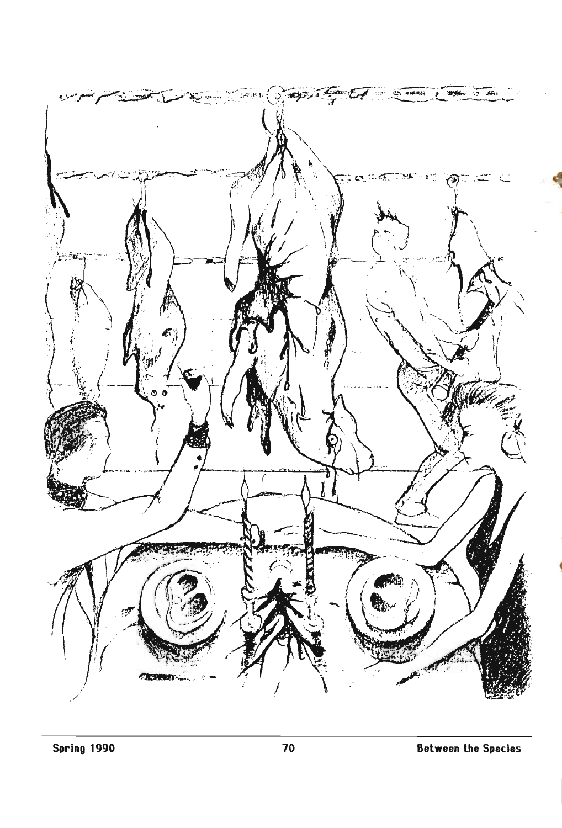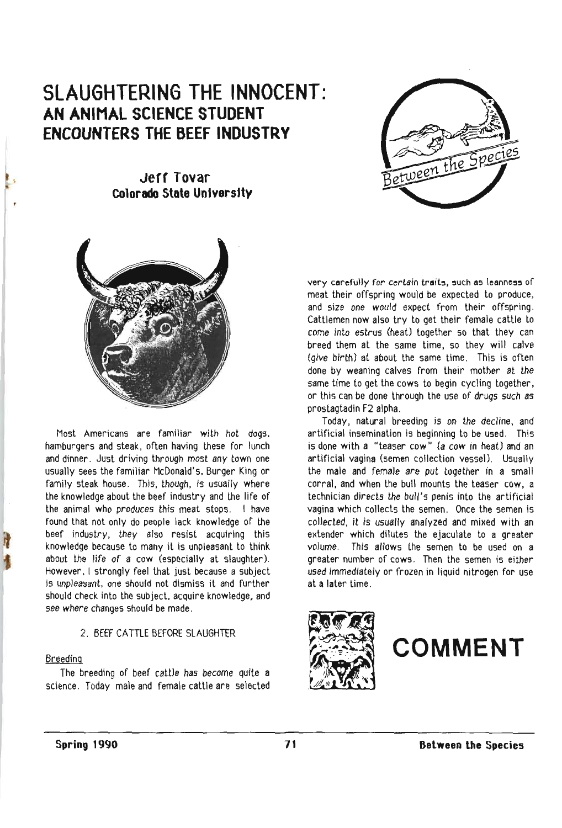# **SLAUGHTERING THE INNOCENT: AN ANIMAL SCIENCE STUDENT ENCOUNTERS THE BEEF INDUSTRY**

**Jeff Tovar Colorado State Unlvers1ty** 





Most Americans are familiar with hot dogs. hamburgers and steak. often having these for lunch and dinner. Just driving through most any town one usually sees the familiar McDonald's. Burger King or family steak house. This. though. is usually where the knowledge about the beef industry and the life of the animal who produces this meat stops. I have found that not only do people lack knowledge of the beef industry. they also resist acquiring this knowledge because to many it is unpleasant to think about the life of a cow (especially at slaughter). However. I strongly feel that just because a subject is unpleasant. one should not dismiss it and further should check into the subject. acquire knowledge. and see where changes should be made.

#### 2. BEEF CATTLE BEFORE SLAUGHTER

#### Breeding

The breeding of beef cattle has become quite a science. Today male and female cattle are selected very carefully for certain traits, such as leanness of meat their offspring would be expected to produce. and size one would expect from their offspring. Cattlemen now also try to get their female cattle to come into estrus (heat) together so that they can breed them at the same time. so they will calve (give birth) at about the same time. This is often done by weaning calves from their mother at the same time to get the cows to begin cycling together. or this can be done through the use of drugs such as prostagtadin F2 alpha.

Today. natural breeding is on the decline. and artificial insemination is beginning to be used. This is done with a "teaser cow" (a cow in heat) and an artificial vagina (semen collection vessel). Usually the male and female are put together in a small corral, and when the bull mounts the teaser cow. a technician directs the bull's penis into the artificial vagina which collects the semen. Once the semen is collected, it is usually analyzed and mixed with an extender which dilutes the ejaculate to a greater volume. This allows the semen to be used on a greater number of cows. Then the semen is either used immediately or frozen in liquid nitrogen for use at a later time.



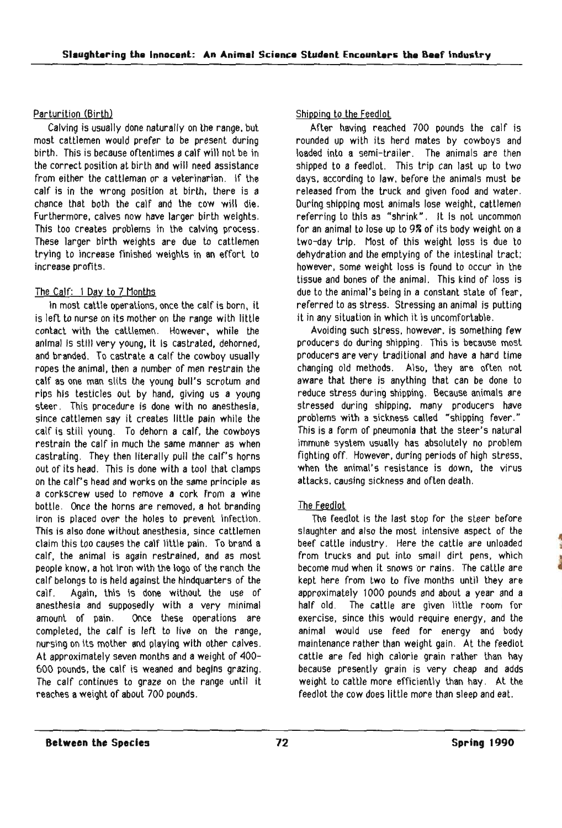#### Parturition (Birth)

Calving is usually done naturally on the range. but most cattlemen would prefer to be present during birth. This is because oftentimes a calf will not be in the correct position at birth and will need assistance from either the cattleman or a veterinarian. If the calf is in the wrong position at birth, there is a chance that both the calf and the cow will die. Furthermore, calves now have larger birth weights. This too creates problems in the calving process. These larger birth weights are due to cattlemen trying to increase finished weights in an effort to increase profits.

## The Calf: 1 Day to 7 Months

In most cattle operations. once the calf is born, it is left to nurse on its mother on the range with little contact with the cattlemen. However, while the animal is still very young, it is castrated, dehorned. and branded. To castrate a calf the cowboy usually ropes the animal, then a number of men restrain the calf as one man slits the young bull's scrotum and rips his testicles out by hand, giving us a young steer. This procedure is done with no anesthesia. since cattlemen say it creates little pain while the calf is still young. To dehorn a calf. the cowboys restrain the calf in much the same manner as when castrating. They then literally pull the calf's horns out of its head. This is done with a tool that clamps on the calf's head and works on the same principle as a corkscrew used to remove a cork from a wine bottle. Once the horns are removed, a hot branding iron is placed over the holes to prevent infection. This is also done without anesthesia, since cattlemen claim this too causes the calf little pain. To brand a calf. the animal is again restrained, and as most people know. a hot iron with the logo of the ranch the calf belongs to is held against the hindquarters of the calf. Again, this is done without the use of anesthesia and supposedly with a very minimal amount of pain. Once these operations are completed. the calf is left to live on the range, nursing on its mother and playing with other calves. At approximately seven months and a weight of 400- 600 pounds, the calf is weaned and begins grazing. The calf continues to graze on the range until it reaches a weight of about 700 pounds.

#### Shipping to the Feedlot

After having reached 700 pounds the calf is rounded up with its herd mates by cowboys and loaded into a semi-trailer. The animals are then shipped to a feedlot. This trip can last up to two days. according to law. before the animals must be released from the truck and given food and water. During shipping most animals lose weight, cattlemen referring to this as "shrink". It Is not uncommon for an animal to lose up to  $9%$  of its body weight on a two-day trip. Most of this weight loss is due to dehydration and the emptying of the intestinal tract; however, some weight loss is found to occur in the tissue and bones of the animal. This kind of loss is due to the animal's being in a constant state of fear. referred to as stress. Stressing an animal is putting it in any situation in which it is uncomfortable.

Avoiding such stress. however. is something few producers do during shipping. This is because most producers are very traditional and have a hard time changing old methods. Also. they are often not aware that there is anything that can be done to reduce stress during shipping. Because animals are stressed during shipping. many producers have problems with a sickness called "shipping fever." This is a form of pneumonia that the steer's natural immune system usually has absolutely no problem fighting off. However, during periods of high stress. when the animal's resistance is down. the virus attacks. causing sickness and often death.

# The Feedlot

The feedlot is the last stop for the steer before slaughter and also the most intensive aspect of the beef cattle industry. Here the cattle are unloaded from trucks and put into small dirt pens, which become mud when it snows or rains. The cattle are kept here from two to five months until they are approximately 1000 pounds and about a year and a half old. The cattle are given little room for exercise. since this would reQuire energy. and the animal would use feed for energy and body maintenance rather than weight gain. At the feedlot cattle are fed high calorie grain rather than hay because presently grain is very cheap and adds weight to cattle more efficiently than hay. At the feedlot the cow does little more than sleep and eat.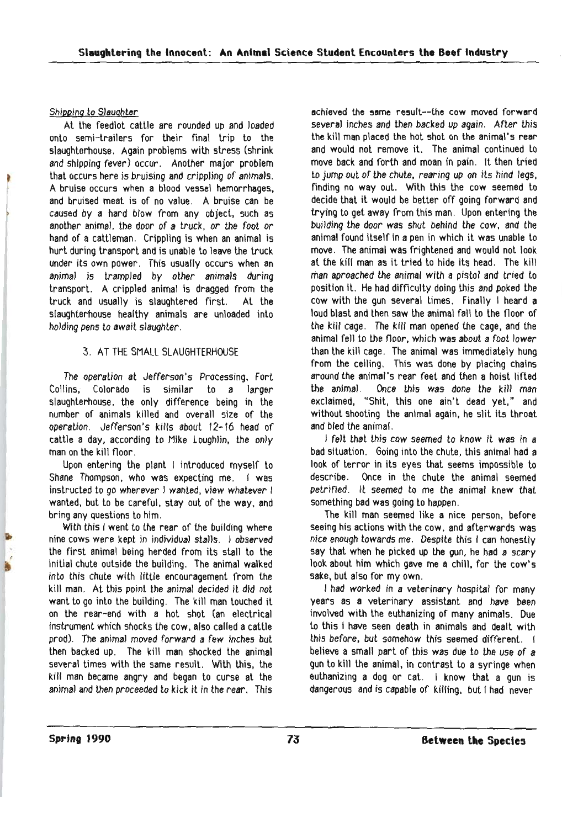#### Shipping to Slaughter

At the feedlot cattle are rounded up and loaded onto semi-trailers for their final trip to the slaughterhouse. Again problems with stress (shrink and shipping fever) occur. Another major problem that occurs here is bruising and crippling of animals. A bruise occurs when a blood vessel hemorrhages. and bruised meat is of no value. A bruise can be caused by a hard blow from any object. such as another animal. the door of a truck. or the foot or hand of a cattleman. Crippling is when an animal is hurt during transport and is unable to leave the truck under its own power. This usually occurs when an animal is trampled by other animals during transport. A crippled animal is dragged from the truck and usually is slaughtered first. At the slaughterhouse healthy animals are unloaded into holding pens to await slaughter.

## 3. AT THE SMALL SLAUGHTERHOUSE

The operation at Jefferson's Processing, Fort Collins, Colorado is similar to a larger slaughterhouse. the only difference being in the number of animals killed and overall size of the operation. Jefferson's kills about 12-16 head of cattle a day, according to Mike Loughlin, the only man on the kill floor.

Upon entering the plant I introduced myself to Shane Thompson, who was expecting me. I was instructed to go wherever I wanted. view whatever I wanted. but to be careful. stay out of the way, and bring any questions to him.

With this I went to the rear of the building where nine cows were kept in individual stalls. I observed the first animal being herded from its stall to the initial chute outside the building. The animal walked into this chute with little encouragement from the kill man. At this point the animal decided it did not want to go into the building. The kill man touched it on the rear-end with a hot shot (an electrical instrument which shocks the cow. also called a cattle prod). The animal moved forward a few inches but then backed up. The kill man shocked the animal several times with the same result. With this, the kill man became angry and began to curse at the animal and then proceeded to kick it in the rear. This

achieved the same result--the cow moved forward several inches and then backed up again. After this the kill man placed the hot shot on the animal's rear and would not remove it. The animal continued to move back and forth and moan in pain. It then tried to jump out of the chute, rearing up on its hind legs, finding no way out. With this the cow seemed to decide that it would be better off going forward and trying to get away from this man. Upon entering the building the door was shut behind the cow. and the animal found itself in a pen in which it was unable to move. The animal was frightened and would not look at the kill man as it tried to hide its head. The kill man aproached the animal with a pistol and tried to position it. He had difficulty doing this and poked the cow with the gun several times. Finally I heard a loud blast and then saw the animal fall to the floor of the kill cage. The kill man opened the cage, and the animal fell to the floor, which was about a foot lower than the kill cage. The animal was immediately hung from the ceiling. This was done by placing chains around the animal's rear feet and then a hoist lifted the animal. Once this was done the kill man exclaimed, "Shit, this one ain't dead yet," and without shooting the animal again, he slit its throat and bled the animal.

I felt that this cow seemed to know it was in a bad situation. Going into the chute, this animal had a look of terror in its eyes that seems impossible to describe. Once in the chute the animal seemed petrified. It seemed to me the animal knew that something bad was going to happen.

The kill man seemed like a nice person, before seeing his actions with the cow. and afterwards was nice enough towards me. Despite this I can honestly say that when he picked up the gun, he had a scary look about him which gave me a chill, for the cow's sake, but also for my own.

I had worked in a veterinary hospital for many years as a veterinary assistant and have been involved with the eulhanizing of many animals. Due to this t have seen death in animals and dealt with this before, but somehow this seemed different. I believe a small part of this was due to the use of a gun to kill the animal, in contrast to a syringe when euthanizing a dog or cat. I know that a gun is dangerous and is capable of killing. but I had never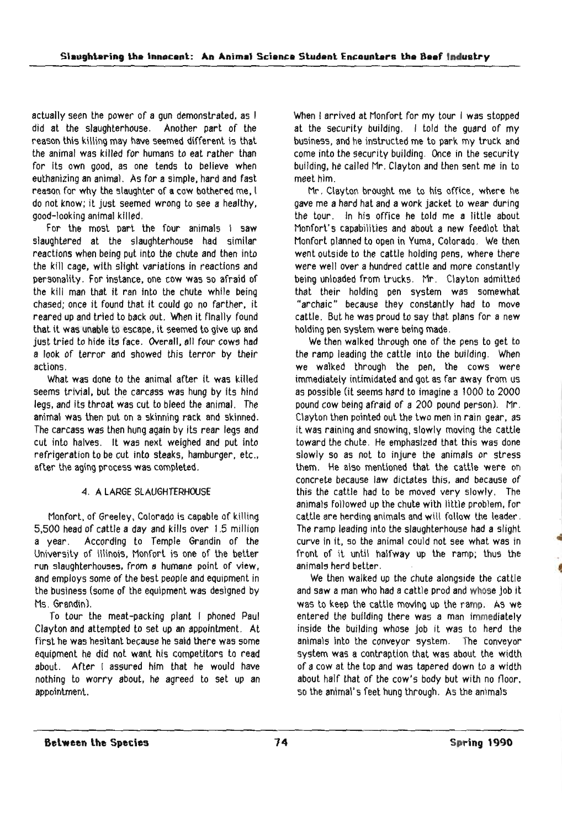actually seen the power of a gun demonstrated. as I did at the slaughterhouse. Another part of the reason this killing may have seemed different is that the animal was killed for humans to eat rather than for its own good, as one tends to believe when euthanizing an animal. As for a simple. hard and fast reason for why the slaughter of a cow bothered me, I do not know; it just seemed wrong to see a healthy, good-looking animal killed.

For the most part the four animals I saw slaughtered at the slaughterhouse had similar reactions when being put into the chute and then into the kill cage. with slight variations in reactions and personality. For instance. one cow was so afraid of the kill man that it ran Into the chute while being chased; once it found that it could go no farther. it reared up and tried to back out. When it finally found that it was unable to escape, it seemed to give up and just tried to hide its face. Overall, all four cows had a look of terror and showed this terror by their actions.

What was done to the animal after it was killed seems trivial, but the carcass was hung by its hind legs, and its throat was cut to bleed the animal. The animal was then put on a skinning rack and skinned. The carcass was then hung again by its rear legs and cut into halves. It was next weighed and put into refrigeration to be cut into steaks. hamburger, etc., after the aging process was completed.

# 4. A LARGE SLAUGHTERHOUSE

Monfort. of Greeley, Colorado is capable of killing 5,500 head of cattle a day and kills over 1.5 million a year. According to Temple Grandin of the University of Illinois. Monfort is one of the better run slaughterhouses, from a humane point of view, and employs some of the best people and eQuipment in the business (some of the equipment was designed by Ms. Grandin).

To tour the meat-packing plant I phoned Paul Clayton and attempted to set up an appointment. At first he was hesitant because he said there was some equipment he did not want his competitors to read about. After I assured him that he would have nothing to worry about, he agreed to set up an appointment.

When I arrived at Monfort for my tour I was stopped at the security building. I told the guard of my business. and he instructed me to park my truck and come into the security building. Once in the security building, he called Mr. Clayton and then sent me in to meet him.

Mr. Clayton brought me to his office. where he gave me a hard hat and a work jacket to wear during the tour. In his office he told me a little about Monfort's capabilities and about a new feedlot that Monfort planned to open in Yuma, Colorado. We then went outside to the cattle holding pens, where there were well over a hundred cattle and more constantly being unloaded from trucks. Mr. Clayton admitted that their holding pen system was somewhat "archaic" because they constantly had to move cattle. But he was proud to say that plans for a new holding pen system were being made.

We then walked through one of the pens to get to the ramp leading the cattle into the building. When we walked through the pen, the cows were immediately intimidated and got as far away from us as possible (it seems hard to imagine a 1000 to 2000 pound cow being afraid of a 200 pound person). Mr. Clayton then pointed out the two men in rain gear, as it was raining and snowing, slowly moving the cattle toward the chute. He emphasized that this was done slowly so as not to injure the animals or stress them. He also mentioned that the cattle were on concrete because law dictates this. and because of this the cattle had to be moved very slowly. The animals followed up the chute with little problem, for cattle are herding animals and will follow the leader. The ramp leading into the slaughterhouse had a slight curve in it, so the animal could not see what was in front of it until halfway up the ramp; thus the animals herd better.

We then walked up the chute alongside the cattle and saw a man who had a cattle prod and whose job it was to keep the cattle moving up the ramp. As we entered the building there was a man immediately inside the building whose job it was to herd the animals into the conveyor system. The conveyor system was a contraption that was about the width of a cow at the top and was tapered down to a width about half that of the cow's body but with no floor. so the animal's feet hung through. As the animals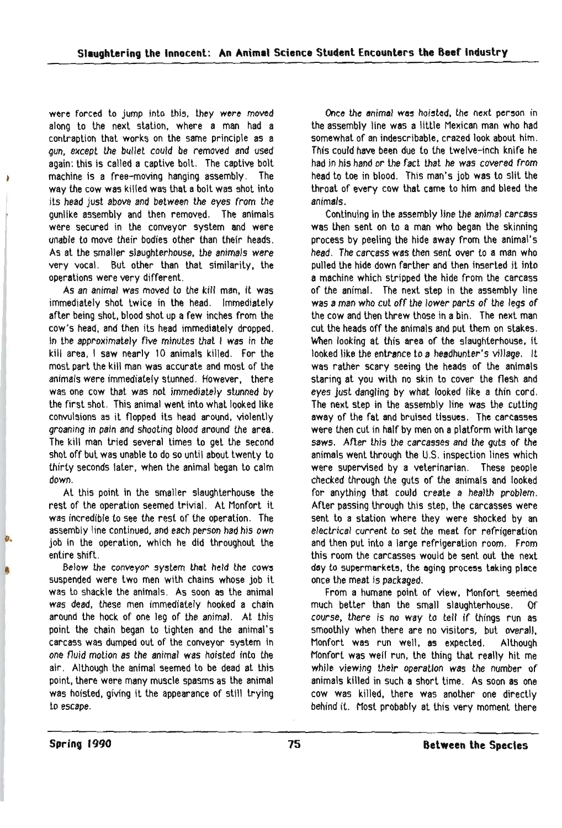were forced to jump into this, they were moved along to the next station, where a man had a contraption that works on the same principle as a gun, except the bullet could be removed and used again: this is called a captive bolt. The captive bolt machine is a free-moving hanging assembly. The way the cow was killed was that a bolt was shot into its head just above and between the eyes from the gunlike assembly and then removed. The animals were secured in the conveyor system and were unable to move their bodies other than their heads. As at the smaller slaughterhouse, the animals were very vocal. But other than that similarity, the operations were very different.

As an animal was moved to the kill man, it was immediately shot twice in the head. Immediately after being shot, blood shot up a few inches from the cow's head, and then its head immediately dropped. tn the approximately five minutes that I was in the kill area, I saw nearly 10 animals killed. For the most part the kill man was accurate and most of the animals were immediately stunned. However, there was one cow that was not immediately stunned by the first shot. This animal went into what looked like convulsions as it flopped its head around, violently groaning in pain and shooting blood around the area. The kill man tried several times to get the second shot off but was unable to do so until about twenty to thirty seconds later, when the animal began to calm down.

At this point in the smaller slaughterhouse the rest of the operation seemed trivial. At Monfort it was incredible to see the rest of the operation. The assembly line continued, and each person had his own job in the operation. which he did throughout the entire shift.

Below the conveyor system that held the cows suspended were two men with chains whose job it was to shackle the animals. As soon as the animal was dead, these men immediately hooked a chain around the hock of one leg of the animal. At this point the chain began to tighten and the animal's carcass was dumped out of the conveyor system tn one fluid motion as the animal was hoisted into the air. Although the animal seemed to be dead at this point, there were many muscle spasms as the animal was hoisted, giving it the appearance of still trying to escape.

Once the animal was hoisted, the next person in the assembly line was a little Mexican man who had somewhat of an indescribable. crazed look about him. This could have been due to the twelve-inch knife he had in his hand or the fact that he was covered from head to toe in blood. This man's job was to slit the throat of every cow that came to him and bleed the animals.

Continuing in the assembly line the animal carcass was then sent on to a man who began the skinning process by peeling the hide away from the animal's head. The carcass was then sent over to a man who pulled the hide down farther and then inserted it into a machine which stripped the hide from the carcass of the animal. The next step in the assembly line was a man who cut off the lower parts of the legs of the cow and then threw those in a bin. The next man cut the heads off the animals and put them on stakes. When looking at this area of the slaughterhouse. it looked like the entrance to a headhunter's village. It was rather scary seeing the heads of the animals staring at you with no skin to cover the flesh and eyes just dangling by what looked like a thin cord. The next step in the assembly line was the cutting away of the fat and bruised tissues. The carcasses were then cut in half by men on a platform with large saws. After this the carcasses and the guts of the animals went through the U.S. inspection lines which were supervised by a veterinarian. These people checked through the guts of the animals and looked for anything that could create a health problem. After passing through this step, the carcasses were sent to a station where they were shocked by an electrical current to set the meat for refrigeration and then put into a large refrigeration room. From this room the carcasses would be sent out the next day to supermarkets, the aging process taking place once the meat is packaged.

From a humane point of view. Monfort seemed much better than the small slaughterhouse. Of course. there is no way to tell if things run as smoothly when there are no visitors, but overall. Monfort was run well, as expected. Although Monfort was well run, the thing that really hit me while viewing their operation was the number of animals killed in such a short time. As soon as one cow was killed, there was another one directly behind it. Most probably at this very moment there

t.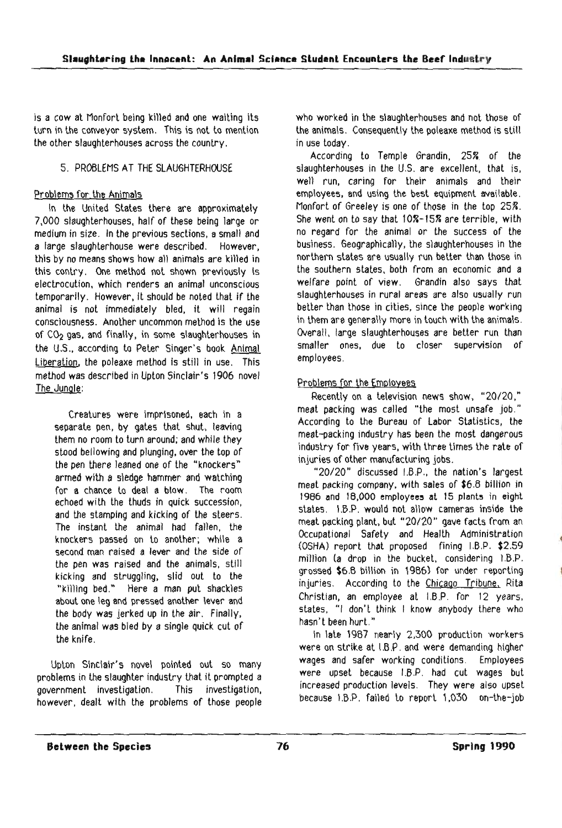is a cow at Monfort being killed and one waiting its turn in the conveyor system. This is not to mention the other slaughterhouses across the country.

# 5. PROBLEMS AT THE SLAUGHTERHOUSE

## Problems for the Animals

In the United States there are approximately 7,000 slaughterhouses, half of these being large or medium in size. In the previous sections, a small and a large slaughterhouse were described. However, this by no means shows how all animals are killed in this contry. One method not shown previously is electrocution, which renders an animal unconscious temporarily. However, It should be noted that if the animal is not immediately bled, it will regain consciousness. Another uncommon method is the use of CO<sub>2</sub> gas, and finally, in some slaughterhouses in the U.S., according to Peter Singer's book Animal Liberation. the poleaxe method is still in use. This method was described in Upton Sinclair's 1906 novel The Jungle:

Creatures were imprisoned, each in a separate pen, by gates that shut. leaving them no room to turn around; and while they stood bellowing and plunging, over the top of the pen there leaned one of the "knockers" armed with a sledge hammer and watching for a chance to deal a blow. The room echoed with the thuds in quick succession, and the stamping and kicking of the steers. The instant the animal had fallen, the knockers passed on to another; while a second man raised a lever and the side of the pen was raised and the animals, still kicking and struggling. slid out to the "killing bed." Here a man put shackles about one leg and pressed another lever and the body was jerked up in the air. Finally, the animal was bled by a single quick. cut of the knife.

Upton Sinclair's novel pointed out 50 many problems in the slaughter industry that it prompted a<br>government investigation. This investigation, government investigation. however. dealt with the problems of those people who worked in the slaughterhouses and not those of the animals. Consequently the poleaxe method is still in use today.

According to Temple Grandin, 25% of the slaughterhouses in the U.S. are excellent, that is, well run, caring for their animals and their employees, and using the best equipment available. Monfort of Greeley is one of those in the top 25%. She went on to say that  $10\% - 15\%$  are terrible. with no regard for the animal or the success of the business. Geographically, the slaughterhouses in the northern states are usually run better than those in the southern states, both from an economic and a welfare point of view. Grandin also says that slaughterhouses in rural areas are also usually run better than those in cities. since the people working in them are generally more in touch with the animals. Overall, large slaughterhouses are better run than smaller ones, due to closer supervision of employees.

# Problems for the Employees

Recently on a television news show, "20120," meat packing was called "the most unsafe job." According to the Bureau of Labor Statistics. the meat-packing industry has been the most dangerous industry for five years, with three limes the rate of injuries of other manufacturing jobs.

"20/20" discussed I.B.P., the nation's largest meat packing company. with sales of \$6.8 billion in 1986 and 18,000 employees at 15 plants in eight states. I.B.P. would not allow cameras inside the meat packing plant, but "20/20" gave fads from an Occupational Safety and Health Administration (OSHA) report that proposed fining I.B.P. \$2.59 million (a drop in the bucket. considering I,B.P. grossed \$6.8 billion in 1986) for under reporting injuries. According to the Chicago Tribune. Rita Christian, an employee at I.B.P. for 12 years. states, "I don't think I know anybody there who hasn't been hurt."

In late 1987 nearly 2.300 production workers were on strike at I.B.P. and were demanding higher wages and safer working conditions. Employees were upset because I.B.P. had cut wages but increased production levels. They were also upset because I.B.P. failed to report 1.030 on-the-job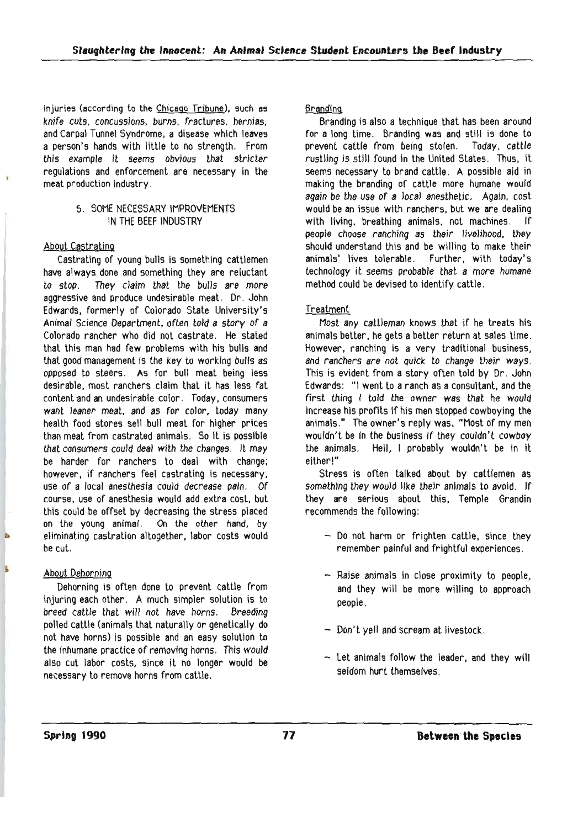injuries (according to the Chicago Tribune), such as knife cuts. concussions, burns, fractures, hernias, and Carpal Tunnel Syndrome, a disease which leaves a person's hands with little to no strength. From this example it seems obvious that stricter regulations and enforcement are necessary in the meat production industry.

#### 6. SOME NECESSARY IMPROVEMENTS IN THE BEEF INDUSTRY

# About Castratina

Castrating of young bulls is something cattlemen have always done and something they are reluctant to stop. They claim that the bulls are more aggressive and produce undesirable meat. Dr. John Edwards. formerly of Colorado State University's Animal Science Department. often told a story of a Colorado rancher who did not castrate. He stated that this man had few problems with his bulls and that good management is the key to working bulls as opposed to steers. As for bull meat being less desirable. most ranchers claim that it has less fat content and an undesirable color. Today. consumers want leaner meat, and as for color. today many health food stores sell bull meat for higher prices than meat from castrated animals. So It is possible that consumers could deal with the changes. It may be harder for ranchers to deal with change; however, if ranchers feel castrating is necessary, use of a local anesthesia could decrease pain. Of course, use of anesthesia would add extra cost, but this could be offset by decreasing the stress placed on the young animal. On the other hand, by eliminating castration altogether. labor costs would be cut.

# About Dehorning

Dehorning is often done to prevent cattle from injuring each other. A much simpler solution is to breed cattle that will not have horns. Breeding polled cattle (animals that naturally or genetically do not have horns) is possible and an easy solution to the inhumane practice of removing horns. This would also cut labor costs, since it no longer would be necessary to remove horns from cattle.

## Branding

Branding is also a technique that has been around for a long time. Branding was and still is done to prevent cattle from being stolen. Today. cattle rustling is still found in the United States. Thus, it seems necessary to brand cattle. A possible aid in making the branding of cattle more humane would again be the use of a local anesthetic. Again, cost would be an issue with ranchers, but we are dealing with living. breathing animals, not machines. If people choose ranching as their livelihood. they should understand this and be willing to make their animals' lives tolerable. Further, with today's technology it seems probable that a more humane method could be devised to identify cattle.

# Treatment

Most any cattleman knows that if he treats his animals better, he gets abetter return at sales time. However. ranching is a very traditional business, and ranchers are not quick to change their ways. This is evident from a story often told by Dr. John Edwards: "I went to a ranch as a consultant, and the first thing I told the owner was that he would increase his profits if his men stopped cowboying the animals." The owner's reply was, "Most of my men wouldn't be in the business if they couldn't cowboy the animals. Hell, I probably wouldn't be in it either!"

Stress is often talked about by cattlemen as something they would like their animals to avoid. If they are serious about this, Temple Grandin recommends the following:

- $-$  Do not harm or frighten cattle, since they remember painful and frightful experiences.
- Raise animals in close proximity to people, and they will be more willing to approach people.
- Don't yell and scream at livestock.
- Let animals follow the leader, and they will seldom hurt themselves.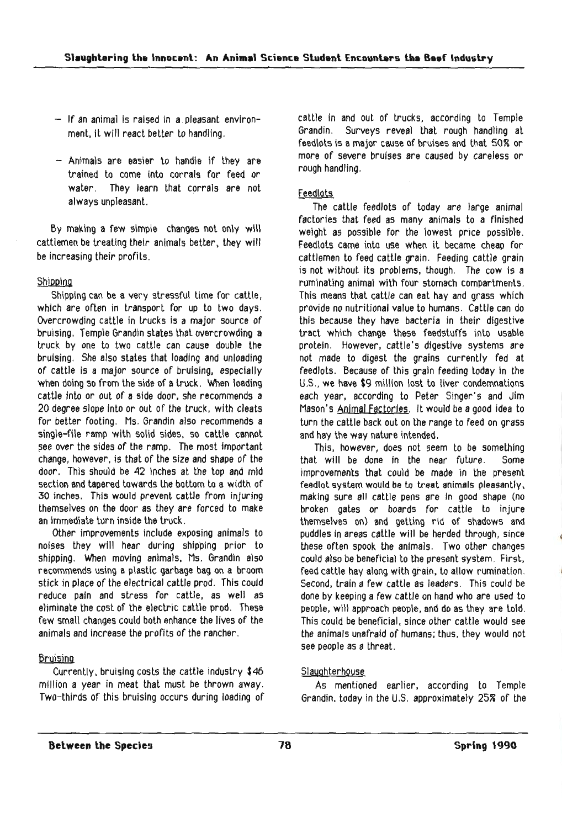- $-$  If an animal is raised in a pleasant environment, it will react better to handling.
- $-$  Animals are easier to handle if they are trained to come into corrals for feed or water. They learn that corrals are not always unpleasant.

By making a few simple changes not only will cattlemen be treating their animals better, they will be increasing their profits.

## Shipping

Shipping can be a very stressful time for cattle, which are often in transport for up to two days. Overcrowding cattle in trucks is a major source of bruising. Temple Grandin states that overcrowding a truck by one to two cattle can cause double the bruising. She also states that loading and unloading of cattle is a major source of bruising, especially when doing so from the side of a truck. When loading cattle Into or out of a side door, she recommends a 20 degree slope into or out of the truck. with cleats for better footing. Ms. Grandin also recommends a single-file ramp with solid sides. so cattle cannot see over the sides of the ramp. The most important change, however. is that of the size and shape of the door. This should be 42 inches at the top and mid section and tapered towards the bottom to a width of 30 inches. This would prevent cattle from injuring themselves on the door as they are forced to make an immediate turn inside the truck.

other improvements include exposing animals to noises they will hear during shipping prior to shipping. When moving animals, Ms. Grandin also recommends using a plastic garbage bag on a broom stick in place of the electrical cattle prod. This could reduce pain and stress for cattle, as well as eliminate the cost of the electric cattle prod. These few small changes could both enhance the lives of the animals and increase the profits of the rancher.

#### Bruisino

Currently, bruising costs the cattle industry \$46 million a year in meat that must be thrown away. Two-thirds of this bruising occurs during loading of cattle in and out of trucks, according to Temple Grandin. Surveys reveal that rough handling at feedlots is a major cause of bruises and that 50% or more of severe bruises are caused by careless or rough handling.

## Feedlots

The cattle feedlots of today are large animal factories that feed as many animals to a finished weight as possible for the lowest price possible. Feedlots came into use when it became cheap for cattlemen to feed cattle grain. Feeding cattle grain is not without its problems, though. The cow is a ruminating animal with four stomach compartments. This means that cattle can eat hay and grass which provide no nutritional value to humans. Cattle can do this because they have bacteria in their digestive tract which change these feedstuffs into usable protein. However, cattle's digestive systems are not made to digest the grains currently fed at feedlots. Because of this grain feeding today in the U.S., we have \$9 million lost to liver condemnations each year, according to Peter Singer's and Jim Mason's Animal Factories. It would be a good idea to turn the cattle back out on the range to feed on grass and hay the way nature intended.

This, however, does not seem to be something that will be done in the near future. Some improvements that could be made in the present feedlot system would be to treat animals pleasantly, making sure all cattle pens are in good shape (no broken gates or boards for cattle to injure themselves on) and getting rid of shadows and puddles in areas cattle will be herded through, since these often spook the animals. Two other changes could also be beneficial to the present system, First, feed cattle hay along with grain, to allow rumination. Second, train a few cattle as leaders. This could be done by keeping a few cattle on hand who are used to people, will approach people, and do as they are told. This could be beneficial, since other cattle would see the animals unafraid of humans; thus, they would not see people as a threat.

# **Slaughterhouse**

As mentioned earlier, according to Temple Grandin, today in the U.S. approximately 25% of the